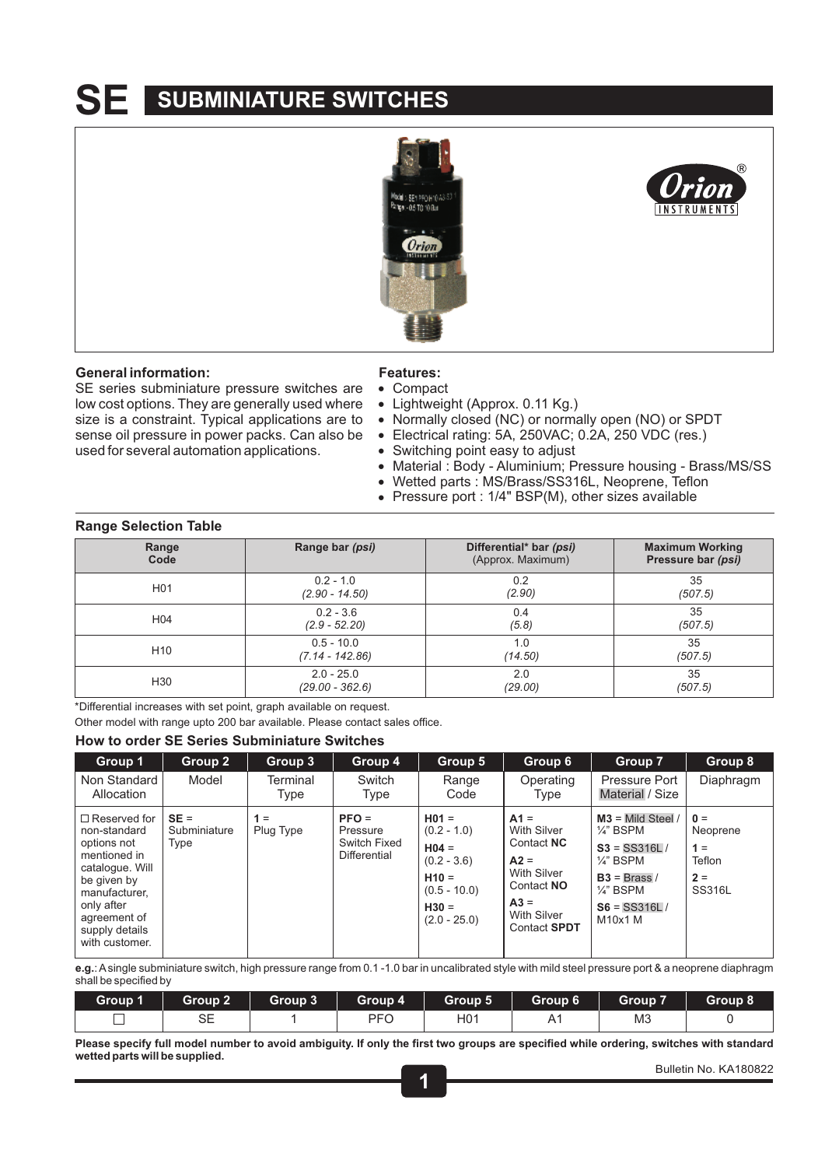# **SE SUBMINIATURE SWITCHES**



## **General information:**

SE series subminiature pressure switches are low cost options. They are generally used where size is a constraint. Typical applications are to sense oil pressure in power packs. Can also be used for several automation applications.

## **Features:**

- ! Compact
- Lightweight (Approx. 0.11 Kg.)
- Normally closed (NC) or normally open (NO) or SPDT
- ! Electrical rating: 5A, 250VAC; 0.2A, 250 VDC (res.)
- Switching point easy to adjust
- Material : Body Aluminium; Pressure housing Brass/MS/SS
- Wetted parts : MS/Brass/SS316L, Neoprene, Teflon
- Pressure port : 1/4" BSP(M), other sizes available

## **Range Selection Table**

| Range           | Range bar ( <i>psi</i> ) | Differential* bar (psi) | <b>Maximum Working</b> |
|-----------------|--------------------------|-------------------------|------------------------|
| Code            |                          | (Approx. Maximum)       | Pressure bar (psi)     |
| H <sub>01</sub> | $0.2 - 1.0$              | 0.2                     | 35                     |
|                 | $(2.90 - 14.50)$         | (2.90)                  | (507.5)                |
| H <sub>04</sub> | $0.2 - 3.6$              | 0.4                     | 35                     |
|                 | $(2.9 - 52.20)$          | (5.8)                   | (507.5)                |
| H <sub>10</sub> | $0.5 - 10.0$             | 1.0                     | 35                     |
|                 | $(7.14 - 142.86)$        | (14.50)                 | (507.5)                |
| H <sub>30</sub> | $2.0 - 25.0$             | 2.0                     | 35                     |
|                 | $(29.00 - 362.6)$        | (29.00)                 | (507.5)                |

\*Differential increases with set point, graph available on request.

Other model with range upto 200 bar available. Please contact sales office.

## **How to order SE Series Subminiature Switches**

| Group 1                                                                                                                                                                                 | Group 2                        | Group 3            | Group 4                                             | Group 5                                                                                                        | Group 6                                                                                                                    | Group 7                                                                                                                                                     | Group 8                                                 |
|-----------------------------------------------------------------------------------------------------------------------------------------------------------------------------------------|--------------------------------|--------------------|-----------------------------------------------------|----------------------------------------------------------------------------------------------------------------|----------------------------------------------------------------------------------------------------------------------------|-------------------------------------------------------------------------------------------------------------------------------------------------------------|---------------------------------------------------------|
| Non Standard<br>Allocation                                                                                                                                                              | Model                          | Terminal<br>Type   | Switch<br>Type                                      | Range<br>Code                                                                                                  | Operating<br>Type                                                                                                          | Pressure Port<br>Material / Size                                                                                                                            | Diaphragm                                               |
| $\Box$ Reserved for<br>non-standard<br>options not<br>mentioned in<br>catalogue. Will<br>be given by<br>manufacturer,<br>only after<br>agreement of<br>supply details<br>with customer. | $SE =$<br>Subminiature<br>Type | $1 =$<br>Plug Type | $PFO =$<br>Pressure<br>Switch Fixed<br>Differential | $H01 =$<br>$(0.2 - 1.0)$<br>$H04 =$<br>$(0.2 - 3.6)$<br>$H10 =$<br>$(0.5 - 10.0)$<br>$H30 =$<br>$(2.0 - 25.0)$ | $A1 =$<br>With Silver<br>Contact NC<br>$A2 =$<br>With Silver<br>Contact NO<br>$A3 =$<br>With Silver<br><b>Contact SPDT</b> | $M3$ = Mild Steel /<br>$\frac{1}{4}$ " BSPM<br>$S3 = SS316L/$<br>$\frac{1}{4}$ " BSPM<br>$B3 = Brass/$<br>$\frac{1}{4}$ " BSPM<br>$S6 = SS316L/$<br>M10x1 M | $0 =$<br>Neoprene<br>$1 =$<br>Teflon<br>$2 =$<br>SS316L |

**e.g.**: Asingle subminiature switch, high pressure range from 0.1 -1.0 bar in uncalibrated style with mild steel pressure port & a neoprene diaphragm shall be specified by

| Group 1 | Group 2 $\parallel$ | Group 3 |            | Group 4   Group 5 | Group 6 | Group 7 | Group 8 |
|---------|---------------------|---------|------------|-------------------|---------|---------|---------|
|         |                     |         | <b>PEC</b> | H0 <sup>4</sup>   | A       | MЗ      |         |

**Please specify full model number to avoid ambiguity. If only the first two groups are specified while ordering, switches with standard wetted parts will be supplied.**